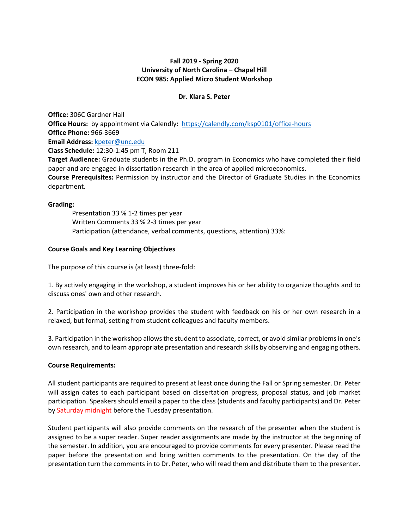# **Fall 2019 ‐ Spring 2020 University of North Carolina – Chapel Hill ECON 985: Applied Micro Student Workshop**

### **Dr. Klara S. Peter**

**Office:** 306C Gardner Hall **Office Hours:** by appointment via Calendly: https://calendly.com/ksp0101/office-hours **Office Phone:** 966‐3669 **Email Address:** kpeter@unc.edu **Class Schedule:** 12:30‐1:45 pm T, Room 211 **Target Audience:** Graduate students in the Ph.D. program in Economics who have completed their field paper and are engaged in dissertation research in the area of applied microeconomics. **Course Prerequisites:** Permission by instructor and the Director of Graduate Studies in the Economics department.

#### **Grading:**

Presentation 33 % 1‐2 times per year Written Comments 33 % 2‐3 times per year Participation (attendance, verbal comments, questions, attention) 33%:

## **Course Goals and Key Learning Objectives**

The purpose of this course is (at least) three‐fold:

1. By actively engaging in the workshop, a student improves his or her ability to organize thoughts and to discuss ones' own and other research.

2. Participation in the workshop provides the student with feedback on his or her own research in a relaxed, but formal, setting from student colleagues and faculty members.

3. Participation in the workshop allows the student to associate, correct, or avoid similar problems in one's own research, and to learn appropriate presentation and research skills by observing and engaging others.

## **Course Requirements:**

All student participants are required to present at least once during the Fall or Spring semester. Dr. Peter will assign dates to each participant based on dissertation progress, proposal status, and job market participation. Speakers should email a paper to the class (students and faculty participants) and Dr. Peter by Saturday midnight before the Tuesday presentation.

Student participants will also provide comments on the research of the presenter when the student is assigned to be a super reader. Super reader assignments are made by the instructor at the beginning of the semester. In addition, you are encouraged to provide comments for every presenter. Please read the paper before the presentation and bring written comments to the presentation. On the day of the presentation turn the comments in to Dr. Peter, who will read them and distribute them to the presenter.